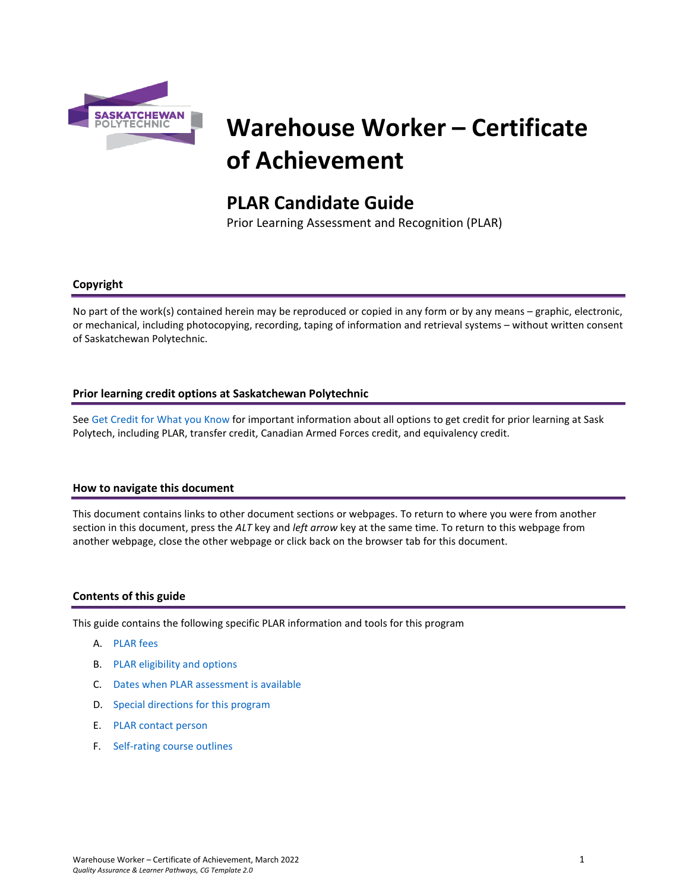

# **Warehouse Worker – Certificate of Achievement**

# **PLAR Candidate Guide**

Prior Learning Assessment and Recognition (PLAR)

# **Copyright**

No part of the work(s) contained herein may be reproduced or copied in any form or by any means – graphic, electronic, or mechanical, including photocopying, recording, taping of information and retrieval systems – without written consent of Saskatchewan Polytechnic.

# **Prior learning credit options at Saskatchewan Polytechnic**

Se[e Get Credit for What you Know](https://saskpolytech.ca/admissions/get-credit/) for important information about all options to get credit for prior learning at Sask Polytech, including PLAR, transfer credit, Canadian Armed Forces credit, and equivalency credit.

#### **How to navigate this document**

This document contains links to other document sections or webpages. To return to where you were from another section in this document, press the *ALT* key and *left arrow* key at the same time. To return to this webpage from another webpage, close the other webpage or click back on the browser tab for this document.

#### **Contents of this guide**

This guide contains the following specific PLAR information and tools for this program

- A. [PLAR fees](#page-1-0)
- B. [PLAR eligibility and options](#page-1-1)
- C. [Dates when PLAR assessment is available](#page-1-2)
- D. [Special directions for this program](#page-1-3)
- E. [PLAR contact person](#page-2-0)
- F. [Self-rating course outlines](#page-2-1)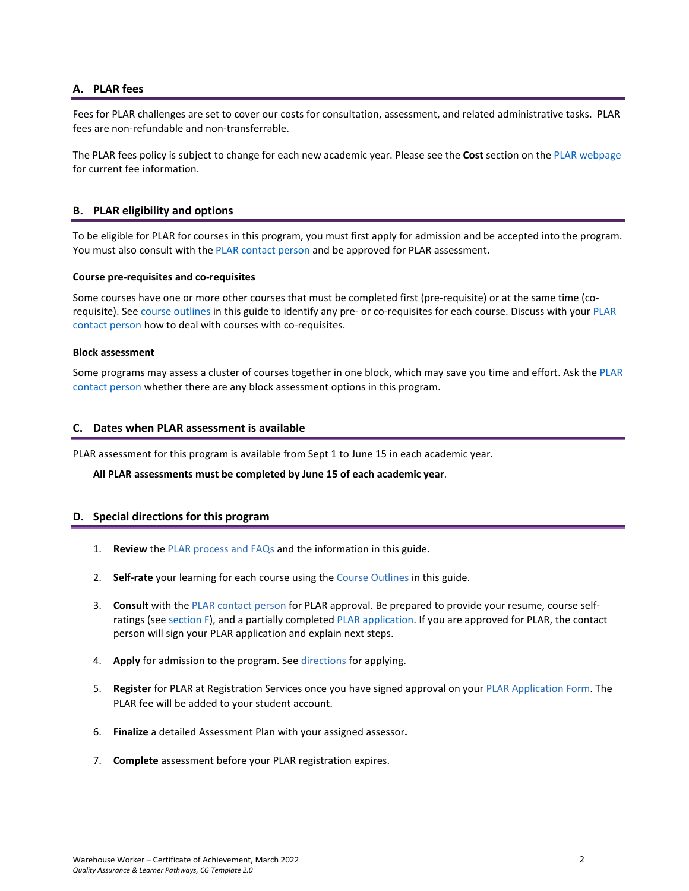# <span id="page-1-0"></span>**A. PLAR fees**

Fees for PLAR challenges are set to cover our costs for consultation, assessment, and related administrative tasks. PLAR fees are non-refundable and non-transferrable.

<span id="page-1-1"></span>The PLAR fees policy is subject to change for each new academic year. Please see the **Cost** section on th[e PLAR webpage](https://saskpolytech.ca/admissions/get-credit/plar.aspx) for current fee information.

# **B. PLAR eligibility and options**

To be eligible for PLAR for courses in this program, you must first apply for admission and be accepted into the program. You must also consult with th[e PLAR contact person](#page-2-0) and be approved for PLAR assessment.

#### **Course pre-requisites and co-requisites**

Some courses have one or more other courses that must be completed first (pre-requisite) or at the same time (corequisite). See course outlines in this guide to identify any pre- or co-requisites for each course. Discuss with your [PLAR](#page-2-0)  [contact person](#page-2-0) how to deal with courses with co-requisites.

#### **Block assessment**

<span id="page-1-2"></span>Some programs may assess a cluster of courses together in one block, which may save you time and effort. Ask the PLAR [contact person](#page-2-0) whether there are any block assessment options in this program.

#### **C. Dates when PLAR assessment is available**

PLAR assessment for this program is available from Sept 1 to June 15 in each academic year.

<span id="page-1-3"></span>**All PLAR assessments must be completed by June 15 of each academic year**.

#### **D. Special directions for this program**

- 1. **Review** the [PLAR process and FAQs](https://saskpolytech.ca/admissions/get-credit/plar.aspx) and the information in this guide.
- 2. **Self-rate** your learning for each course using the Course Outlines in this guide.
- 3. **Consult** with th[e PLAR contact person](#page-2-0) for PLAR approval. Be prepared to provide your resume, course selfratings (see section F), and a partially complete[d PLAR application.](https://saskpolytech.ca/admissions/resources/documents/plar-application-form.pdf) If you are approved for PLAR, the contact person will sign your PLAR application and explain next steps.
- 4. **Apply** for admission to the program. Se[e directions](https://saskpolytech.ca/admissions/apply-and-register/apply-to-a-program.aspx) for applying.
- 5. **Register** for PLAR at Registration Services once you have signed approval on your [PLAR Application Form.](http://saskpolytech.ca/admissions/resources/documents/plar-application-form.pdf) The PLAR fee will be added to your student account.
- 6. **Finalize** a detailed Assessment Plan with your assigned assessor**.**
- 7. **Complete** assessment before your PLAR registration expires.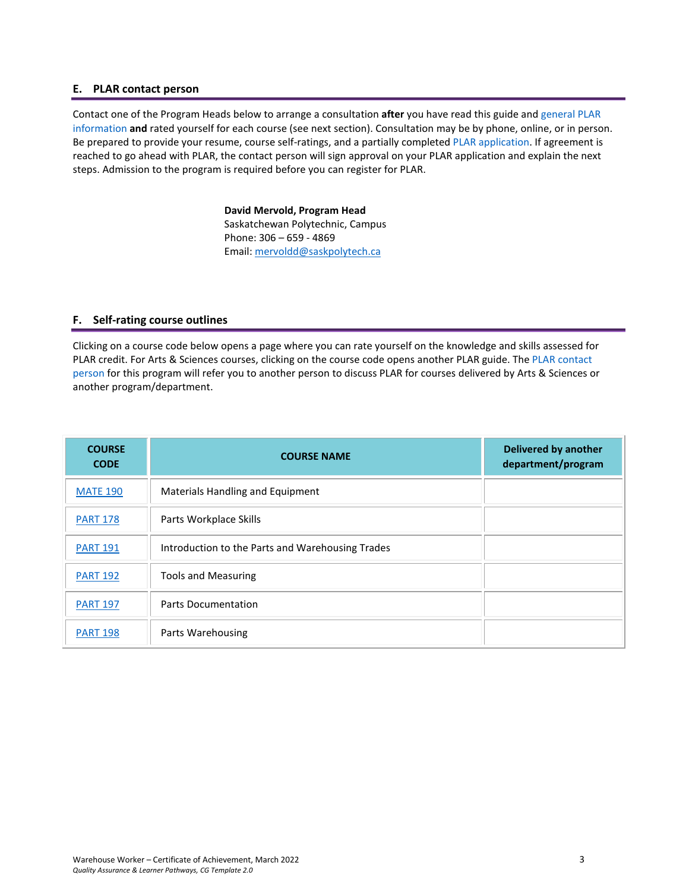#### <span id="page-2-0"></span>**E. PLAR contact person**

Contact one of the Program Heads below to arrange a consultation **after** you have read this guide and [general PLAR](http://saskpolytech.ca/admissions/resources/prior-learning-process.aspx)  [information](http://saskpolytech.ca/admissions/resources/prior-learning-process.aspx) **and** rated yourself for each course (see next section). Consultation may be by phone, online, or in person. Be prepared to provide your resume, course self-ratings, and a partially complete[d PLAR application.](https://saskpolytech.ca/admissions/resources/documents/plar-application-form.pdf#search=PLAR%20application) If agreement is reached to go ahead with PLAR, the contact person will sign approval on your PLAR application and explain the next steps. Admission to the program is required before you can register for PLAR.

> **David Mervold, Program Head** Saskatchewan Polytechnic, Campus Phone: 306 – 659 - 4869 Email[: mervoldd@saskpolytech.ca](mailto:mervoldd@saskpolytech.ca)

#### <span id="page-2-1"></span>**F. Self-rating course outlines**

Clicking on a course code below opens a page where you can rate yourself on the knowledge and skills assessed for PLAR credit. For Arts & Sciences courses, clicking on the course code opens another PLAR guide. The [PLAR contact](#page-2-0)  [person](#page-2-0) for this program will refer you to another person to discuss PLAR for courses delivered by Arts & Sciences or another program/department.

| <b>COURSE</b><br><b>CODE</b> | <b>COURSE NAME</b>                               | <b>Delivered by another</b><br>department/program |
|------------------------------|--------------------------------------------------|---------------------------------------------------|
| <b>MATE 190</b>              | Materials Handling and Equipment                 |                                                   |
| <b>PART 178</b>              | Parts Workplace Skills                           |                                                   |
| <b>PART 191</b>              | Introduction to the Parts and Warehousing Trades |                                                   |
| <b>PART 192</b>              | <b>Tools and Measuring</b>                       |                                                   |
| <b>PART 197</b>              | <b>Parts Documentation</b>                       |                                                   |
| <b>PART 198</b>              | Parts Warehousing                                |                                                   |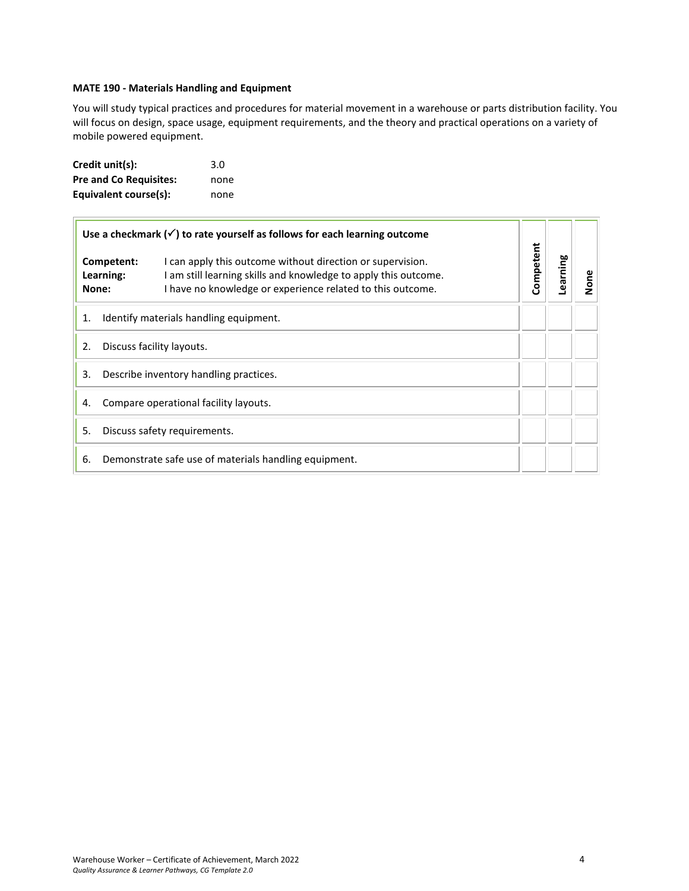# <span id="page-3-0"></span>**MATE 190 - Materials Handling and Equipment**

You will study typical practices and procedures for material movement in a warehouse or parts distribution facility. You will focus on design, space usage, equipment requirements, and the theory and practical operations on a variety of mobile powered equipment.

| Credit unit(s):               | 3.0  |
|-------------------------------|------|
| <b>Pre and Co Requisites:</b> | none |
| Equivalent course(s):         | none |

| Use a checkmark $(\checkmark)$ to rate yourself as follows for each learning outcome |                                                                                                                                                                                                                        |           |          |      |
|--------------------------------------------------------------------------------------|------------------------------------------------------------------------------------------------------------------------------------------------------------------------------------------------------------------------|-----------|----------|------|
| None:                                                                                | I can apply this outcome without direction or supervision.<br>Competent:<br>I am still learning skills and knowledge to apply this outcome.<br>Learning:<br>I have no knowledge or experience related to this outcome. | Competent | Learning | None |
| 1.                                                                                   | Identify materials handling equipment.                                                                                                                                                                                 |           |          |      |
| 2.                                                                                   | Discuss facility layouts.                                                                                                                                                                                              |           |          |      |
| 3.<br>Describe inventory handling practices.                                         |                                                                                                                                                                                                                        |           |          |      |
| 4.                                                                                   | Compare operational facility layouts.                                                                                                                                                                                  |           |          |      |
| 5.                                                                                   | Discuss safety requirements.                                                                                                                                                                                           |           |          |      |
| 6.                                                                                   | Demonstrate safe use of materials handling equipment.                                                                                                                                                                  |           |          |      |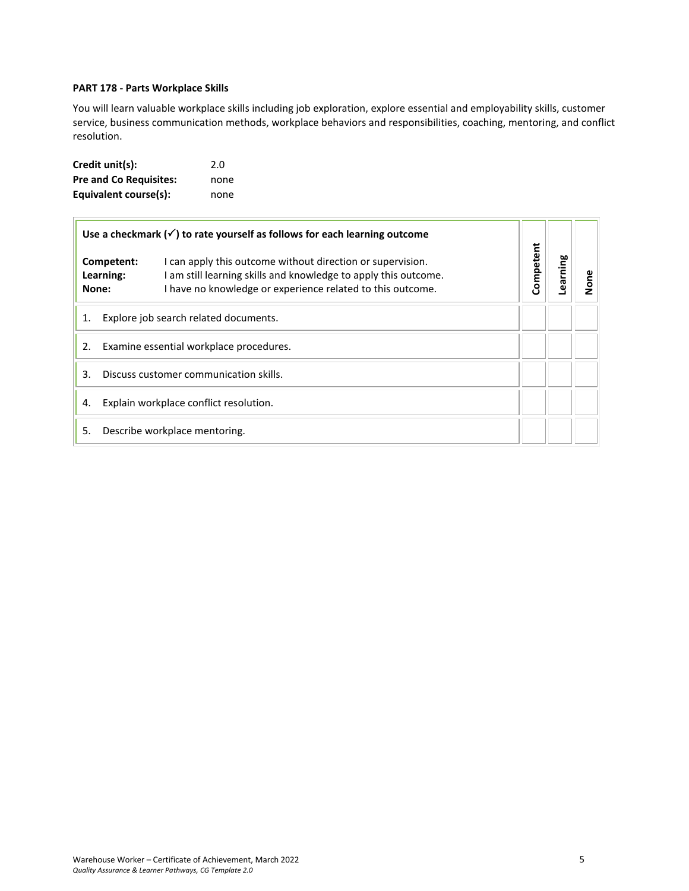# <span id="page-4-0"></span>**PART 178 - Parts Workplace Skills**

You will learn valuable workplace skills including job exploration, explore essential and employability skills, customer service, business communication methods, workplace behaviors and responsibilities, coaching, mentoring, and conflict resolution.

| Credit unit(s):               | 2.0  |
|-------------------------------|------|
| <b>Pre and Co Requisites:</b> | none |
| Equivalent course(s):         | none |

| Use a checkmark $(\checkmark)$ to rate yourself as follows for each learning outcome                                                                                                                                          |                                         |           |          |      |
|-------------------------------------------------------------------------------------------------------------------------------------------------------------------------------------------------------------------------------|-----------------------------------------|-----------|----------|------|
| Competent:<br>I can apply this outcome without direction or supervision.<br>am still learning skills and knowledge to apply this outcome.<br>Learning:<br>I have no knowledge or experience related to this outcome.<br>None: |                                         | Competent | Learning | None |
| 1.                                                                                                                                                                                                                            | Explore job search related documents.   |           |          |      |
| 2.                                                                                                                                                                                                                            | Examine essential workplace procedures. |           |          |      |
| 3.                                                                                                                                                                                                                            | Discuss customer communication skills.  |           |          |      |
| 4.                                                                                                                                                                                                                            | Explain workplace conflict resolution.  |           |          |      |
| 5.                                                                                                                                                                                                                            | Describe workplace mentoring.           |           |          |      |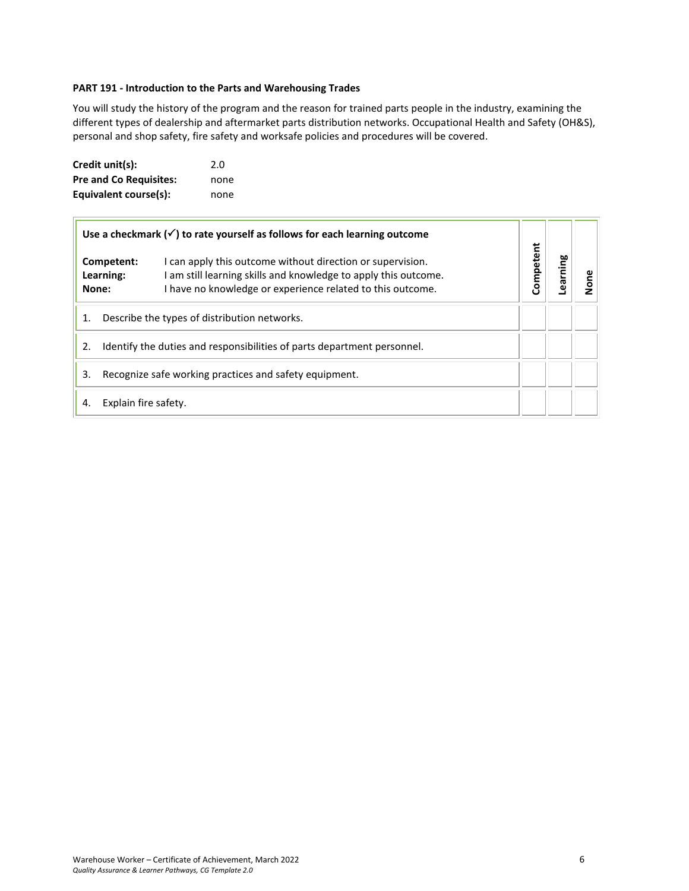# <span id="page-5-0"></span>**PART 191 - Introduction to the Parts and Warehousing Trades**

You will study the history of the program and the reason for trained parts people in the industry, examining the different types of dealership and aftermarket parts distribution networks. Occupational Health and Safety (OH&S), personal and shop safety, fire safety and worksafe policies and procedures will be covered.

| Credit unit(s):               | 2.0  |
|-------------------------------|------|
| <b>Pre and Co Requisites:</b> | none |
| Equivalent course(s):         | none |

| Use a checkmark $(\checkmark)$ to rate yourself as follows for each learning outcome |                         |                                                                                                                                                                                           |           |         |   |
|--------------------------------------------------------------------------------------|-------------------------|-------------------------------------------------------------------------------------------------------------------------------------------------------------------------------------------|-----------|---------|---|
| None:                                                                                | Competent:<br>Learning: | I can apply this outcome without direction or supervision.<br>am still learning skills and knowledge to apply this outcome.<br>I have no knowledge or experience related to this outcome. | Competent | earning | ā |
| 1.                                                                                   |                         | Describe the types of distribution networks.                                                                                                                                              |           |         |   |
| 2.                                                                                   |                         | Identify the duties and responsibilities of parts department personnel.                                                                                                                   |           |         |   |
| 3.                                                                                   |                         | Recognize safe working practices and safety equipment.                                                                                                                                    |           |         |   |
| 4.                                                                                   | Explain fire safety.    |                                                                                                                                                                                           |           |         |   |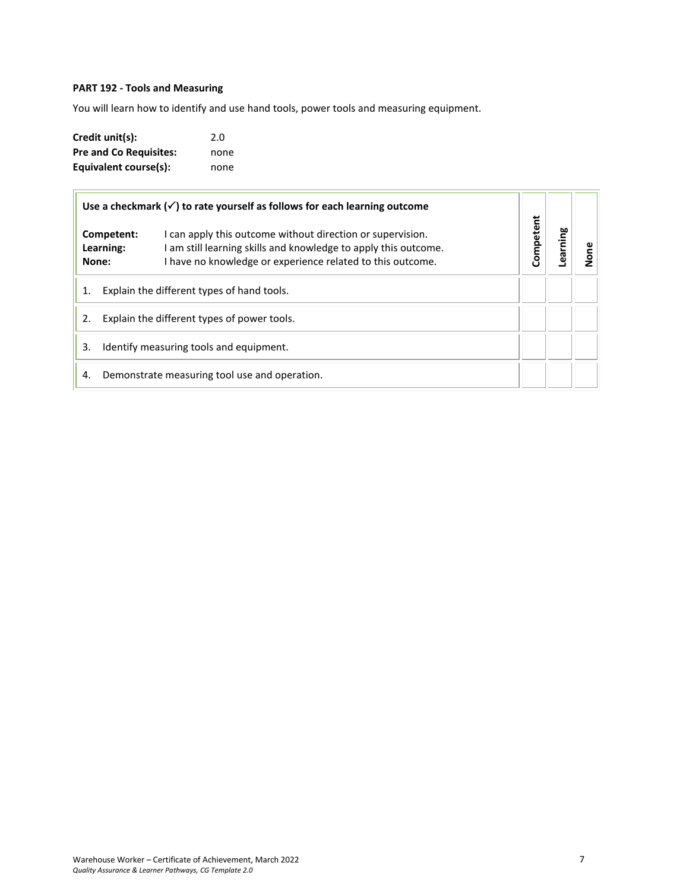# <span id="page-6-0"></span>**PART 192 - Tools and Measuring**

You will learn how to identify and use hand tools, power tools and measuring equipment.

| Credit unit(s):               | 2.0  |
|-------------------------------|------|
| <b>Pre and Co Requisites:</b> | none |
| Equivalent course(s):         | none |

| Use a checkmark $(\checkmark)$ to rate yourself as follows for each learning outcome |                                  |                                                                                                                                                                                             |           |         |      |
|--------------------------------------------------------------------------------------|----------------------------------|---------------------------------------------------------------------------------------------------------------------------------------------------------------------------------------------|-----------|---------|------|
|                                                                                      | Competent:<br>Learning:<br>None: | I can apply this outcome without direction or supervision.<br>I am still learning skills and knowledge to apply this outcome.<br>I have no knowledge or experience related to this outcome. | Competent | earning | None |
| 1.                                                                                   |                                  | Explain the different types of hand tools.                                                                                                                                                  |           |         |      |
| 2.                                                                                   |                                  | Explain the different types of power tools.                                                                                                                                                 |           |         |      |
| 3.                                                                                   |                                  | Identify measuring tools and equipment.                                                                                                                                                     |           |         |      |
| 4.                                                                                   |                                  | Demonstrate measuring tool use and operation.                                                                                                                                               |           |         |      |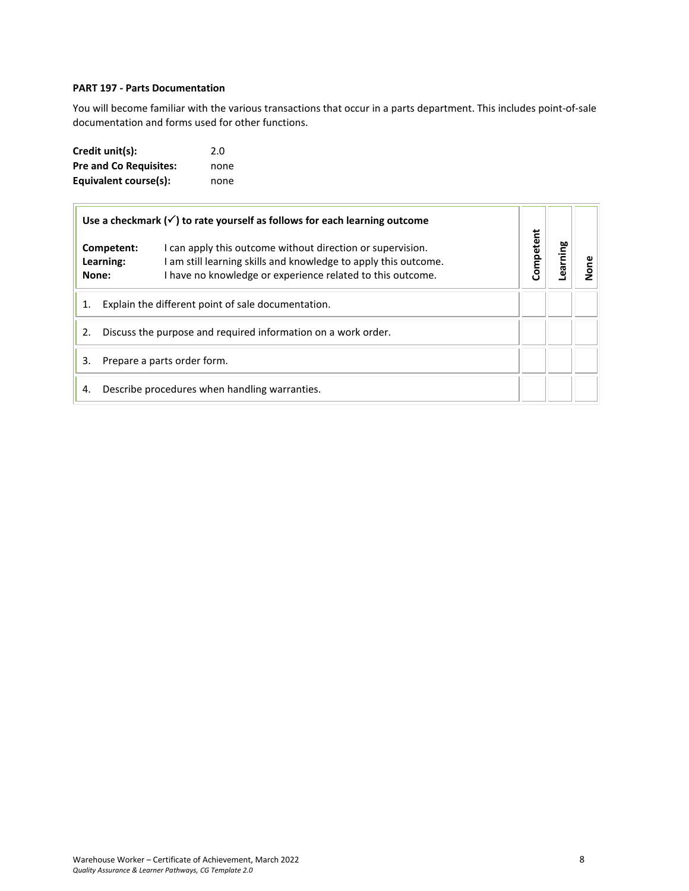# <span id="page-7-0"></span>**PART 197 - Parts Documentation**

You will become familiar with the various transactions that occur in a parts department. This includes point-of-sale documentation and forms used for other functions.

| Credit unit(s):               | 2.0  |
|-------------------------------|------|
| <b>Pre and Co Requisites:</b> | none |
| Equivalent course(s):         | none |

| Use a checkmark $(\checkmark)$ to rate yourself as follows for each learning outcome |                                                                                                                                                                                                                               |  |           |         |  |
|--------------------------------------------------------------------------------------|-------------------------------------------------------------------------------------------------------------------------------------------------------------------------------------------------------------------------------|--|-----------|---------|--|
|                                                                                      | I can apply this outcome without direction or supervision.<br>Competent:<br>am still learning skills and knowledge to apply this outcome.<br>Learning:<br>I have no knowledge or experience related to this outcome.<br>None: |  | Competent | earning |  |
|                                                                                      | Explain the different point of sale documentation.                                                                                                                                                                            |  |           |         |  |
| 2.                                                                                   | Discuss the purpose and required information on a work order.                                                                                                                                                                 |  |           |         |  |
| 3.                                                                                   | Prepare a parts order form.                                                                                                                                                                                                   |  |           |         |  |
| 4.                                                                                   | Describe procedures when handling warranties.                                                                                                                                                                                 |  |           |         |  |